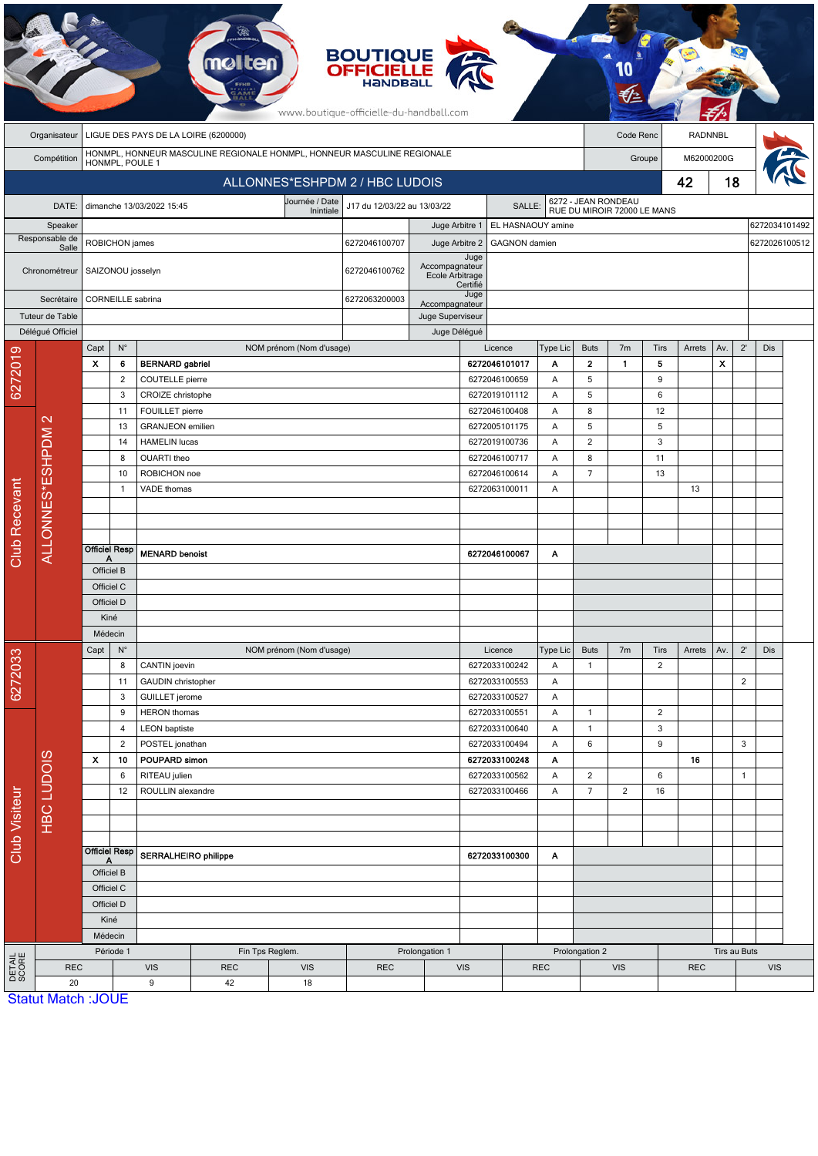|                                                                                                           |                           |                                                       |                         |                                        |    |                             | <b>BOUTIQUE</b><br><b>OFFICIELLE</b><br>HANDBALL<br>www.boutique-officielle-du-handball.com |                                   |                  |                                |               |                                  |                                                    |                        |            |                |                |               |  |
|-----------------------------------------------------------------------------------------------------------|---------------------------|-------------------------------------------------------|-------------------------|----------------------------------------|----|-----------------------------|---------------------------------------------------------------------------------------------|-----------------------------------|------------------|--------------------------------|---------------|----------------------------------|----------------------------------------------------|------------------------|------------|----------------|----------------|---------------|--|
|                                                                                                           | Organisateur              |                                                       |                         | LIGUE DES PAYS DE LA LOIRE (6200000)   |    |                             |                                                                                             |                                   |                  |                                |               |                                  | Code Renc                                          |                        |            | <b>RADNNBL</b> |                |               |  |
| HONMPL, HONNEUR MASCULINE REGIONALE HONMPL, HONNEUR MASCULINE REGIONALE<br>Compétition<br>HONMPL, POULE 1 |                           |                                                       |                         |                                        |    |                             |                                                                                             |                                   |                  |                                |               |                                  | Groupe                                             |                        |            | M62000200G     |                |               |  |
|                                                                                                           |                           |                                                       |                         |                                        |    |                             | ALLONNES*ESHPDM 2 / HBC LUDOIS                                                              |                                   |                  |                                |               |                                  |                                                    |                        | 42         | 18             |                |               |  |
|                                                                                                           | DATE:                     |                                                       |                         | dimanche 13/03/2022 15:45              |    | Journée / Date<br>Inintiale | J17 du 12/03/22 au 13/03/22<br>SALLE:                                                       |                                   |                  |                                |               |                                  | 6272 - JEAN RONDEAU<br>RUE DU MIROIR 72000 LE MANS |                        |            |                |                |               |  |
| Speaker                                                                                                   |                           |                                                       |                         |                                        |    |                             |                                                                                             | Juge Arbitre 1                    |                  | EL HASNAOUY amine              |               |                                  |                                                    |                        |            |                |                | 6272034101492 |  |
|                                                                                                           | Responsable de<br>Salle   | ROBICHON james                                        |                         |                                        |    |                             | 6272046100707                                                                               | Juge Arbitre 2                    |                  | <b>GAGNON</b> damien           |               |                                  |                                                    |                        |            |                |                | 6272026100512 |  |
| Chronométreur                                                                                             |                           | SAIZONOU josselyn                                     |                         |                                        |    |                             | 6272046100762                                                                               | Accompagnateur<br>Ecole Arbitrage | Juge<br>Certifié |                                |               |                                  |                                                    |                        |            |                |                |               |  |
|                                                                                                           | Secrétaire                |                                                       |                         | CORNEILLE sabrina                      |    |                             | 6272063200003                                                                               | Accompagnateur                    |                  |                                |               |                                  |                                                    |                        |            |                |                |               |  |
|                                                                                                           | Tuteur de Table           |                                                       |                         |                                        |    |                             |                                                                                             | Juge Superviseur                  |                  |                                |               |                                  |                                                    |                        |            |                |                |               |  |
|                                                                                                           | Délégué Officiel          |                                                       |                         |                                        |    |                             |                                                                                             | Juge Délégué                      |                  |                                |               |                                  |                                                    |                        |            |                |                |               |  |
|                                                                                                           |                           | Capt                                                  | $\mathsf{N}^\circ$      |                                        |    | NOM prénom (Nom d'usage)    |                                                                                             |                                   |                  | Licence                        | Type Lic      | <b>Buts</b>                      | 7 <sub>m</sub>                                     | <b>Tirs</b>            | Arrets     | Av.            | $2^{\prime}$   | Dis           |  |
| 6272019                                                                                                   |                           | X                                                     | 6                       | <b>BERNARD</b> gabriel                 |    |                             |                                                                                             |                                   |                  | 6272046101017                  | Α             | $\overline{2}$<br>5              | $\mathbf{1}$                                       | 5<br>9                 |            | X              |                |               |  |
|                                                                                                           |                           |                                                       | $\overline{2}$<br>3     | COUTELLE pierre<br>CROIZE christophe   |    |                             |                                                                                             |                                   |                  | 6272046100659<br>6272019101112 | Α<br>A        | 5                                |                                                    | 6                      |            |                |                |               |  |
|                                                                                                           |                           |                                                       | 11                      | FOUILLET pierre                        |    |                             |                                                                                             |                                   |                  | 6272046100408                  | Α             | 8                                |                                                    | 12                     |            |                |                |               |  |
|                                                                                                           | $\mathbf{\Omega}$         |                                                       | 13                      | <b>GRANJEON</b> emilien                |    |                             |                                                                                             |                                   |                  | 6272005101175                  | Α             | 5                                |                                                    | $\sqrt{5}$             |            |                |                |               |  |
|                                                                                                           |                           |                                                       | 14                      | <b>HAMELIN</b> lucas                   |    |                             |                                                                                             |                                   |                  | 6272019100736                  | A             | $\overline{2}$                   |                                                    | 3                      |            |                |                |               |  |
|                                                                                                           | ALLONNES*ESHPDM           |                                                       | 8                       | OUARTI theo                            |    |                             |                                                                                             |                                   |                  | 6272046100717                  | Α             | 8                                |                                                    | 11                     |            |                |                |               |  |
|                                                                                                           |                           |                                                       | 10                      | ROBICHON noe                           |    |                             |                                                                                             |                                   |                  | 6272046100614                  | A             | $\overline{7}$                   |                                                    | 13                     |            |                |                |               |  |
|                                                                                                           |                           |                                                       | 1                       | VADE thomas                            |    |                             |                                                                                             |                                   |                  | 6272063100011                  | A             |                                  |                                                    |                        | 13         |                |                |               |  |
|                                                                                                           |                           |                                                       |                         |                                        |    |                             |                                                                                             |                                   |                  |                                |               |                                  |                                                    |                        |            |                |                |               |  |
| <b>Club Recevant</b>                                                                                      |                           |                                                       |                         |                                        |    |                             |                                                                                             |                                   |                  |                                |               |                                  |                                                    |                        |            |                |                |               |  |
|                                                                                                           |                           | <b>Officiel Resp</b><br>Α                             |                         | <b>MENARD benoist</b>                  |    |                             |                                                                                             |                                   |                  | 6272046100067                  | Α             |                                  |                                                    |                        |            |                |                |               |  |
|                                                                                                           |                           | Officiel B                                            |                         |                                        |    |                             |                                                                                             |                                   |                  |                                |               |                                  |                                                    |                        |            |                |                |               |  |
|                                                                                                           |                           | Officiel C                                            |                         |                                        |    |                             |                                                                                             |                                   |                  |                                |               |                                  |                                                    |                        |            |                |                |               |  |
|                                                                                                           |                           | Officiel D                                            |                         |                                        |    |                             |                                                                                             |                                   |                  |                                |               |                                  |                                                    |                        |            |                |                |               |  |
|                                                                                                           |                           | Kiné                                                  |                         |                                        |    |                             |                                                                                             |                                   |                  |                                |               |                                  |                                                    |                        |            |                |                |               |  |
|                                                                                                           | <b>HBC LUDOIS</b>         | Médecin                                               |                         |                                        |    |                             |                                                                                             |                                   |                  |                                |               |                                  |                                                    |                        |            |                |                |               |  |
|                                                                                                           |                           | Capt                                                  | $\mathsf{N}^\circ$<br>8 | CANTIN joevin                          |    | NOM prénom (Nom d'usage)    |                                                                                             |                                   |                  | Licence<br>6272033100242       | Type Lic<br>Α | <b>Buts</b><br>$\mathbf{1}$      | 7 <sub>m</sub>                                     | Tirs<br>$\overline{2}$ | Arrets     | Av.            | $2^{\prime}$   | Dis           |  |
| 6272033                                                                                                   |                           |                                                       | 11                      | GAUDIN christopher                     |    |                             |                                                                                             |                                   |                  | 6272033100553                  | Α             |                                  |                                                    |                        |            |                | $\overline{2}$ |               |  |
|                                                                                                           |                           |                                                       | 3                       | <b>GUILLET</b> jerome                  |    |                             |                                                                                             |                                   |                  | 6272033100527                  | Α             |                                  |                                                    |                        |            |                |                |               |  |
|                                                                                                           |                           |                                                       | 9                       | <b>HERON</b> thomas                    |    |                             |                                                                                             |                                   |                  | 6272033100551                  | Α             | $\mathbf{1}$                     |                                                    | $\overline{2}$         |            |                |                |               |  |
|                                                                                                           |                           |                                                       | 4                       | <b>LEON</b> baptiste                   |    |                             |                                                                                             |                                   |                  | 6272033100640<br>Α             |               | $\mathbf{1}$                     |                                                    | 3                      |            |                |                |               |  |
| <b>Club Visiteur</b>                                                                                      |                           |                                                       | $\overline{2}$          | POSTEL jonathan                        |    |                             |                                                                                             |                                   |                  | 6272033100494                  | Α             | 6                                |                                                    | 9                      |            |                | 3              |               |  |
|                                                                                                           |                           | X                                                     | 10                      | POUPARD simon                          |    |                             |                                                                                             |                                   |                  | 6272033100248                  | Α             |                                  |                                                    |                        | 16         |                |                |               |  |
|                                                                                                           |                           |                                                       | 6<br>12                 | RITEAU julien<br>ROULLIN alexandre     |    |                             |                                                                                             |                                   |                  | 6272033100562<br>6272033100466 | Α<br>Α        | $\overline{2}$<br>$\overline{7}$ | $\overline{2}$                                     | 6<br>16                |            |                | $\mathbf{1}$   |               |  |
|                                                                                                           |                           |                                                       |                         |                                        |    |                             |                                                                                             |                                   |                  |                                |               |                                  |                                                    |                        |            |                |                |               |  |
|                                                                                                           |                           |                                                       |                         |                                        |    |                             |                                                                                             |                                   |                  |                                |               |                                  |                                                    |                        |            |                |                |               |  |
|                                                                                                           |                           | <b>Officiel Resp</b><br>A<br>Officiel B<br>Officiel C |                         |                                        |    |                             |                                                                                             |                                   | 6272033100300    |                                |               |                                  |                                                    |                        |            |                |                |               |  |
|                                                                                                           |                           |                                                       |                         | <b>SERRALHEIRO philippe</b>            |    |                             | Α                                                                                           |                                   |                  |                                |               |                                  |                                                    |                        |            |                |                |               |  |
|                                                                                                           |                           |                                                       |                         |                                        |    |                             |                                                                                             |                                   |                  |                                |               |                                  |                                                    |                        |            |                |                |               |  |
|                                                                                                           |                           |                                                       |                         |                                        |    |                             |                                                                                             |                                   |                  |                                |               |                                  |                                                    |                        |            |                |                |               |  |
|                                                                                                           |                           |                                                       | Officiel D<br>Kiné      |                                        |    |                             |                                                                                             |                                   |                  |                                |               |                                  |                                                    |                        |            |                |                |               |  |
|                                                                                                           |                           |                                                       |                         |                                        |    |                             |                                                                                             |                                   |                  |                                |               |                                  |                                                    |                        |            |                |                |               |  |
|                                                                                                           |                           | Médecin<br>Période 1                                  |                         |                                        |    | Fin Tps Reglem.             |                                                                                             | Prolongation 1                    |                  |                                |               | Prolongation 2                   |                                                    |                        |            |                | Tirs au Buts   |               |  |
| DETAIL<br>SCORE                                                                                           | <b>REC</b>                |                                                       |                         | <b>VIS</b><br><b>REC</b><br><b>VIS</b> |    |                             | <b>REC</b>                                                                                  |                                   | <b>VIS</b>       |                                | <b>REC</b>    |                                  | <b>VIS</b>                                         |                        | <b>REC</b> |                | <b>VIS</b>     |               |  |
|                                                                                                           | 20                        |                                                       |                         | 9                                      | 42 | 18                          |                                                                                             |                                   |                  |                                |               |                                  |                                                    |                        |            |                |                |               |  |
|                                                                                                           | <b>Statut Match: JOUE</b> |                                                       |                         |                                        |    |                             |                                                                                             |                                   |                  |                                |               |                                  |                                                    |                        |            |                |                |               |  |